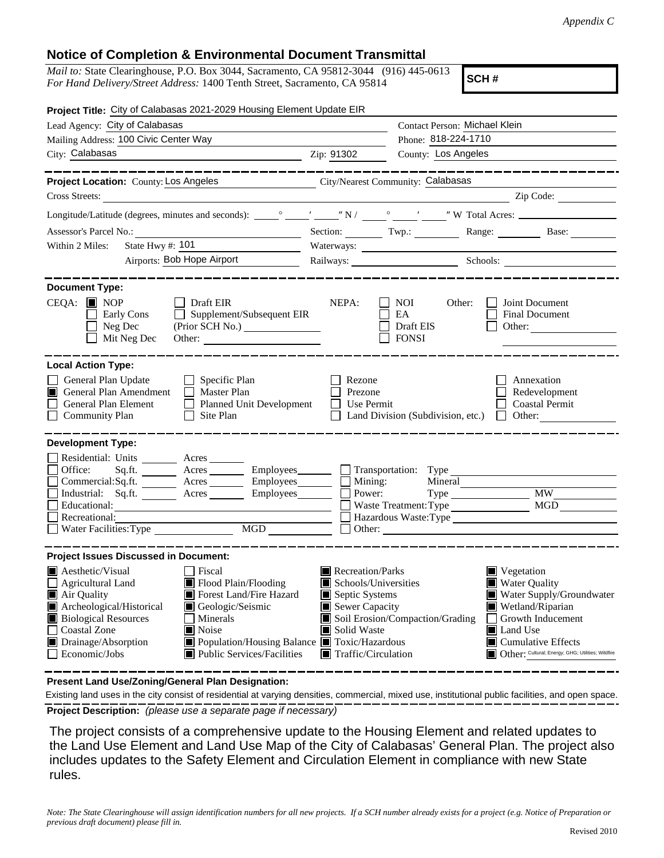## **Notice of Completion & Environmental Document Transmittal**

*Mail to:* State Clearinghouse, P.O. Box 3044, Sacramento, CA 95812-3044 (916) 445-0613 *For Hand Delivery/Street Address:* 1400 Tenth Street, Sacramento, CA 95814

**SCH #**

| Project Title: City of Calabasas 2021-2029 Housing Element Update EIR                                                                                                                                                                                                                                                                                                                                          |                                                                                                                                                  |                                                           |                                                                                                                                                                                                                                |  |  |  |
|----------------------------------------------------------------------------------------------------------------------------------------------------------------------------------------------------------------------------------------------------------------------------------------------------------------------------------------------------------------------------------------------------------------|--------------------------------------------------------------------------------------------------------------------------------------------------|-----------------------------------------------------------|--------------------------------------------------------------------------------------------------------------------------------------------------------------------------------------------------------------------------------|--|--|--|
| Lead Agency: City of Calabasas                                                                                                                                                                                                                                                                                                                                                                                 |                                                                                                                                                  | Contact Person: Michael Klein                             |                                                                                                                                                                                                                                |  |  |  |
| Mailing Address: 100 Civic Center Way                                                                                                                                                                                                                                                                                                                                                                          | Phone: 818-224-1710                                                                                                                              |                                                           |                                                                                                                                                                                                                                |  |  |  |
| City: Calabasas<br><u>2ip: 91302</u>                                                                                                                                                                                                                                                                                                                                                                           |                                                                                                                                                  | County: Los Angeles                                       |                                                                                                                                                                                                                                |  |  |  |
| _________                                                                                                                                                                                                                                                                                                                                                                                                      |                                                                                                                                                  |                                                           |                                                                                                                                                                                                                                |  |  |  |
| Project Location: County: Los Angeles                                                                                                                                                                                                                                                                                                                                                                          |                                                                                                                                                  | City/Nearest Community: Calabasas                         |                                                                                                                                                                                                                                |  |  |  |
| Cross Streets:                                                                                                                                                                                                                                                                                                                                                                                                 |                                                                                                                                                  |                                                           |                                                                                                                                                                                                                                |  |  |  |
|                                                                                                                                                                                                                                                                                                                                                                                                                |                                                                                                                                                  |                                                           |                                                                                                                                                                                                                                |  |  |  |
| Assessor's Parcel No.:                                                                                                                                                                                                                                                                                                                                                                                         |                                                                                                                                                  |                                                           | Section: Twp.: Twp.: Range: Base: Base:                                                                                                                                                                                        |  |  |  |
| State Hwy #: 101<br>Within 2 Miles:                                                                                                                                                                                                                                                                                                                                                                            |                                                                                                                                                  |                                                           |                                                                                                                                                                                                                                |  |  |  |
| Airports: Bob Hope Airport                                                                                                                                                                                                                                                                                                                                                                                     |                                                                                                                                                  |                                                           | Railways: Schools: Schools: 2000 Schools: 2000 Schools: 2000 Schools: 2000 Schools: 2000 Schools: 2000 Schools: 2000 Schools: 2000 Schools: 2000 Schools: 2000 Schools: 2000 Schools: 2000 Schools: 2000 Schools: 2000 Schools |  |  |  |
|                                                                                                                                                                                                                                                                                                                                                                                                                |                                                                                                                                                  |                                                           |                                                                                                                                                                                                                                |  |  |  |
| <b>Document Type:</b><br>$CEQA:$ MOP<br>Draft EIR<br>Supplement/Subsequent EIR<br>Early Cons<br>$\Box$ Neg Dec<br>$\Box$ Mit Neg Dec<br>Other:                                                                                                                                                                                                                                                                 | NEPA:                                                                                                                                            | NOI —<br>Other:<br>EA<br>Draft EIS<br>$\Box$ FONSI        | Joint Document<br><b>Final Document</b><br>Other: $\qquad \qquad$                                                                                                                                                              |  |  |  |
| <b>Local Action Type:</b>                                                                                                                                                                                                                                                                                                                                                                                      |                                                                                                                                                  |                                                           |                                                                                                                                                                                                                                |  |  |  |
| General Plan Update<br>$\Box$ Specific Plan<br>General Plan Amendment<br>$\Box$ Master Plan<br>General Plan Element<br>Planned Unit Development<br>Community Plan<br>$\Box$ Site Plan                                                                                                                                                                                                                          | Rezone<br>Prezone<br>$\Box$ Use Permit                                                                                                           | $\Box$ Land Division (Subdivision, etc.) $\Box$ Other:    | Annexation<br>Redevelopment<br>□ Coastal Permit                                                                                                                                                                                |  |  |  |
| <b>Development Type:</b><br>Residential: Units ________ Acres _____<br>Sq.ft. _________ Acres __________ Employees_________ ___ Transportation: Type __________<br>Office:<br>Commercial:Sq.ft. <u>Acres</u> Acres Employees<br>Industrial: Sq.ft. Acres Employees<br>Educational:<br>$\Box$ Recreational:<br>$\overline{MGD}$<br>Water Facilities: Type                                                       | Mining:<br>Power:<br>Other:                                                                                                                      | Mineral<br>Waste Treatment: Type<br>Hazardous Waste: Type | MGD                                                                                                                                                                                                                            |  |  |  |
| <b>Project Issues Discussed in Document:</b>                                                                                                                                                                                                                                                                                                                                                                   |                                                                                                                                                  |                                                           |                                                                                                                                                                                                                                |  |  |  |
| □ Fiscal<br><b>A</b> Aesthetic/Visual<br>Flood Plain/Flooding<br><b>Agricultural Land</b><br>Air Quality<br><b>I</b> Forest Land/Fire Hazard<br>Archeological/Historical<br>Geologic/Seismic<br>Biological Resources<br>    Minerals<br><b>Coastal Zone</b><br>Noise<br>Drainage/Absorption<br>Population/Housing Balance Toxic/Hazardous<br>$\Box$ Economic/Jobs<br>$\blacksquare$ Public Services/Facilities | Recreation/Parks<br>$\blacksquare$ Schools/Universities<br>Septic Systems<br>Sewer Capacity<br>Solid Waste<br>$\blacksquare$ Traffic/Circulation | Soil Erosion/Compaction/Grading                           | $\blacksquare$ Vegetation<br><b>Water Quality</b><br>Water Supply/Groundwater<br>Wetland/Riparian<br>  Growth Inducement<br>Land Use<br>$\blacksquare$ Cumulative Effects<br>Other: Cultural; Energy; GHG; Utilities; Wildfire |  |  |  |

**Present Land Use/Zoning/General Plan Designation:**

**Project Description:** *(please use a separate page if necessary)* Existing land uses in the city consist of residential at varying densities, commercial, mixed use, institutional public facilities, and open space.

 The project consists of a comprehensive update to the Housing Element and related updates to the Land Use Element and Land Use Map of the City of Calabasas' General Plan. The project also includes updates to the Safety Element and Circulation Element in compliance with new State rules.